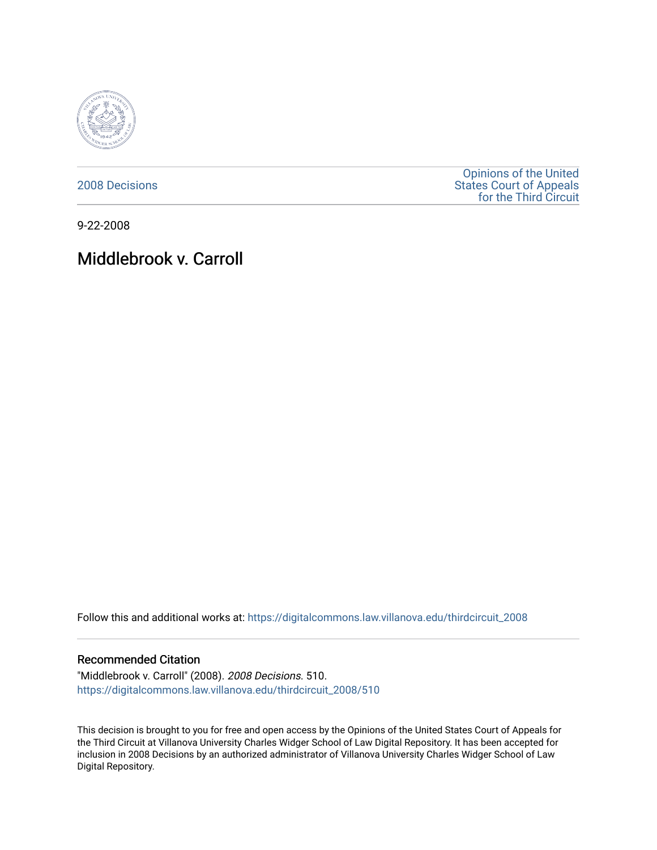

[2008 Decisions](https://digitalcommons.law.villanova.edu/thirdcircuit_2008)

[Opinions of the United](https://digitalcommons.law.villanova.edu/thirdcircuit)  [States Court of Appeals](https://digitalcommons.law.villanova.edu/thirdcircuit)  [for the Third Circuit](https://digitalcommons.law.villanova.edu/thirdcircuit) 

9-22-2008

# Middlebrook v. Carroll

Follow this and additional works at: [https://digitalcommons.law.villanova.edu/thirdcircuit\\_2008](https://digitalcommons.law.villanova.edu/thirdcircuit_2008?utm_source=digitalcommons.law.villanova.edu%2Fthirdcircuit_2008%2F510&utm_medium=PDF&utm_campaign=PDFCoverPages) 

#### Recommended Citation

"Middlebrook v. Carroll" (2008). 2008 Decisions. 510. [https://digitalcommons.law.villanova.edu/thirdcircuit\\_2008/510](https://digitalcommons.law.villanova.edu/thirdcircuit_2008/510?utm_source=digitalcommons.law.villanova.edu%2Fthirdcircuit_2008%2F510&utm_medium=PDF&utm_campaign=PDFCoverPages)

This decision is brought to you for free and open access by the Opinions of the United States Court of Appeals for the Third Circuit at Villanova University Charles Widger School of Law Digital Repository. It has been accepted for inclusion in 2008 Decisions by an authorized administrator of Villanova University Charles Widger School of Law Digital Repository.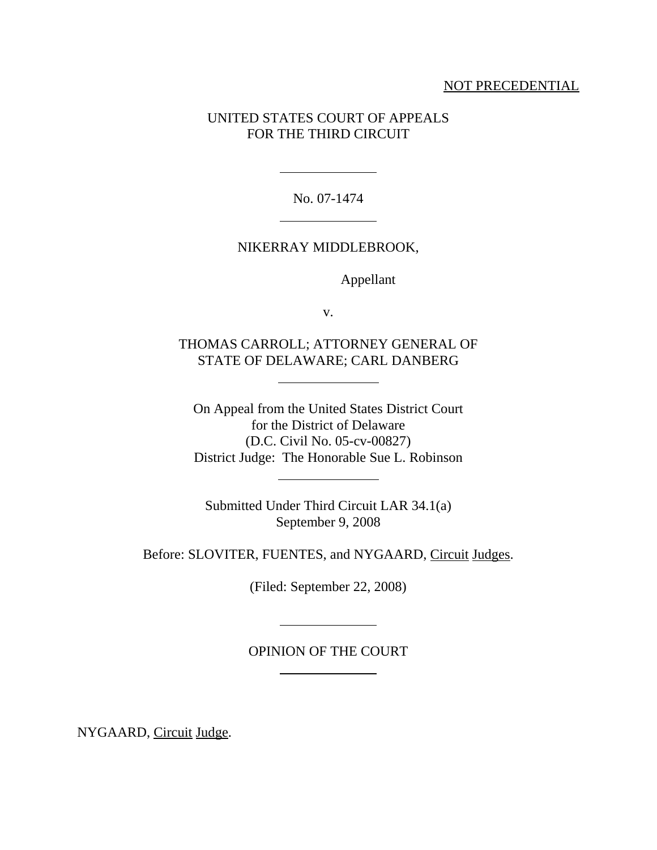## NOT PRECEDENTIAL

## UNITED STATES COURT OF APPEALS FOR THE THIRD CIRCUIT

No. 07-1474

l

 $\overline{a}$ 

 $\overline{a}$ 

 $\overline{a}$ 

 $\overline{a}$ 

l

#### NIKERRAY MIDDLEBROOK,

Appellant

v.

THOMAS CARROLL; ATTORNEY GENERAL OF STATE OF DELAWARE; CARL DANBERG

On Appeal from the United States District Court for the District of Delaware (D.C. Civil No. 05-cv-00827) District Judge: The Honorable Sue L. Robinson

Submitted Under Third Circuit LAR 34.1(a) September 9, 2008

Before: SLOVITER, FUENTES, and NYGAARD, Circuit Judges.

(Filed: September 22, 2008)

OPINION OF THE COURT

NYGAARD, Circuit Judge.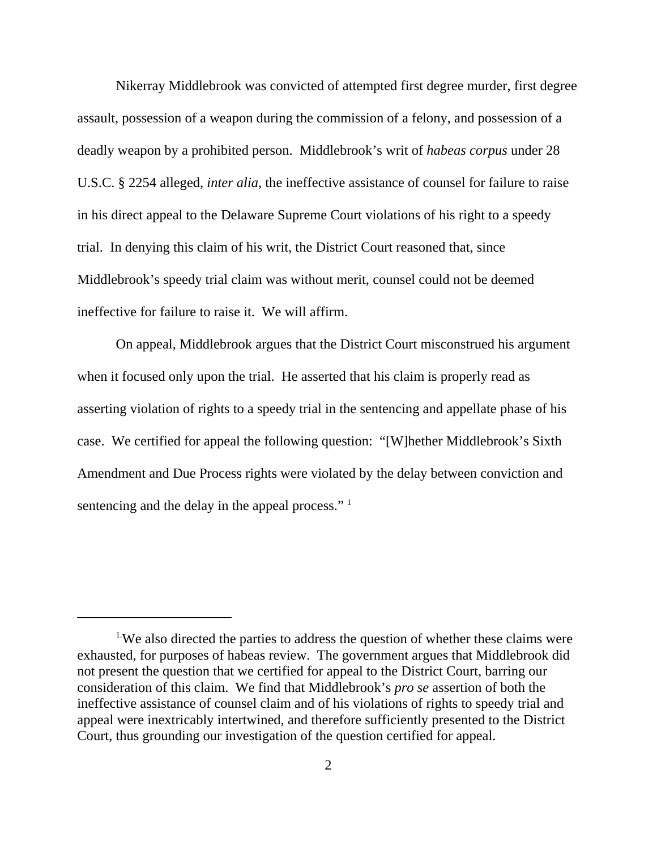Nikerray Middlebrook was convicted of attempted first degree murder, first degree assault, possession of a weapon during the commission of a felony, and possession of a deadly weapon by a prohibited person. Middlebrook's writ of *habeas corpus* under 28 U.S.C. § 2254 alleged, *inter alia*, the ineffective assistance of counsel for failure to raise in his direct appeal to the Delaware Supreme Court violations of his right to a speedy trial. In denying this claim of his writ, the District Court reasoned that, since Middlebrook's speedy trial claim was without merit, counsel could not be deemed ineffective for failure to raise it. We will affirm.

On appeal, Middlebrook argues that the District Court misconstrued his argument when it focused only upon the trial. He asserted that his claim is properly read as asserting violation of rights to a speedy trial in the sentencing and appellate phase of his case. We certified for appeal the following question: "[W]hether Middlebrook's Sixth Amendment and Due Process rights were violated by the delay between conviction and sentencing and the delay in the appeal process."<sup>1</sup>

<sup>&</sup>lt;sup>1</sup>We also directed the parties to address the question of whether these claims were exhausted, for purposes of habeas review. The government argues that Middlebrook did not present the question that we certified for appeal to the District Court, barring our consideration of this claim. We find that Middlebrook's *pro se* assertion of both the ineffective assistance of counsel claim and of his violations of rights to speedy trial and appeal were inextricably intertwined, and therefore sufficiently presented to the District Court, thus grounding our investigation of the question certified for appeal.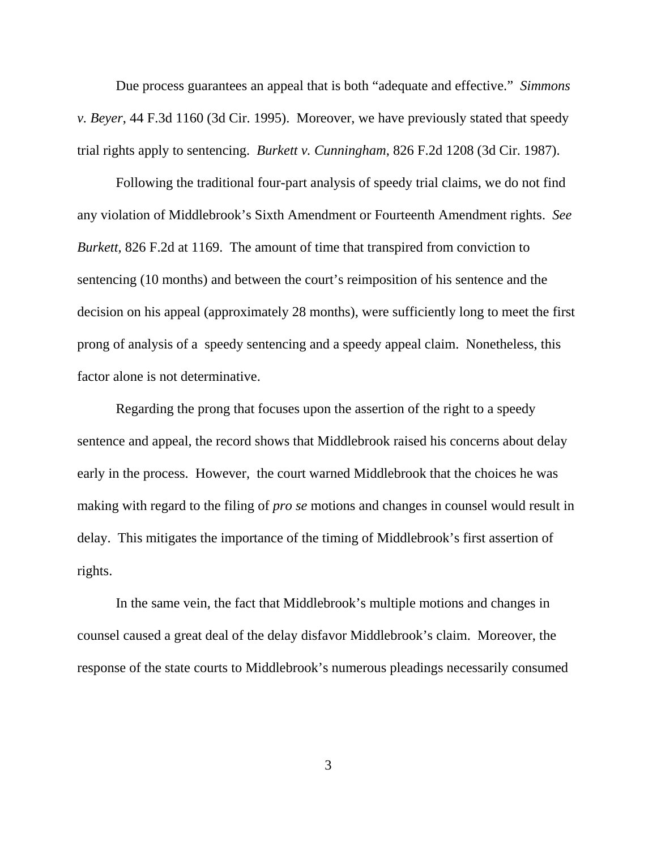Due process guarantees an appeal that is both "adequate and effective." *Simmons v. Beyer*, 44 F.3d 1160 (3d Cir. 1995). Moreover, we have previously stated that speedy trial rights apply to sentencing. *Burkett v. Cunningham*, 826 F.2d 1208 (3d Cir. 1987).

Following the traditional four-part analysis of speedy trial claims, we do not find any violation of Middlebrook's Sixth Amendment or Fourteenth Amendment rights. *See Burkett,* 826 F.2d at 1169. The amount of time that transpired from conviction to sentencing (10 months) and between the court's reimposition of his sentence and the decision on his appeal (approximately 28 months), were sufficiently long to meet the first prong of analysis of a speedy sentencing and a speedy appeal claim. Nonetheless, this factor alone is not determinative.

Regarding the prong that focuses upon the assertion of the right to a speedy sentence and appeal, the record shows that Middlebrook raised his concerns about delay early in the process. However, the court warned Middlebrook that the choices he was making with regard to the filing of *pro se* motions and changes in counsel would result in delay. This mitigates the importance of the timing of Middlebrook's first assertion of rights.

In the same vein, the fact that Middlebrook's multiple motions and changes in counsel caused a great deal of the delay disfavor Middlebrook's claim. Moreover, the response of the state courts to Middlebrook's numerous pleadings necessarily consumed

3